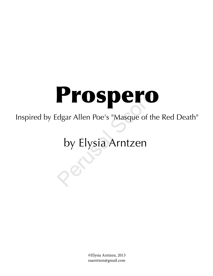# Prospero **Prospers**<br>
dgar Allen Poe's "Masque of th<br>
by Elysia Arntzen

Inspired by Edgar Allen Poe's "Masque of the Red Death"

# by Elysia Arntzen

©Elysia Arntzen, 2013 eaarntzen@gmail.com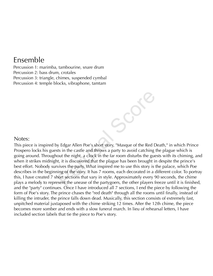### Ensemble

Percussion 1: marimba, tambourine, snare drum Percussion 2: bass drum, crotales Percussion 3: triangle, chimes, suspended cymbal Percussion 4: temple blocks, vibraphone, tamtam

### Notes:

This piece is inspired by Edgar Allen Poe's short story, "Masque of the Red Death," in which Prince Prospero locks his guests in the castle and throws a party to avoid catching the plague which is going around. Throughout the night, a clock in the far room disturbs the guests with its chiming, and when it strikes midnight, it is discovered that the plague has been brought in despite the prince's best effort. Nobody survives the party. What inspired me to use this story is the palace, which Poe describes in the beginning of the story. It has 7 rooms, each decorated in a different color. To portray this, I have created 7 short sections that vary in style. Approximately every 90 seconds, the chime plays a melody to represent the unease of the partygoers, the other players freeze until it is finished, and the "party" continues. Once I have introduced all 7 sections, I end the piece by following the form of Poe's story. The prince chases the "red death" through all the rooms until finally, instead of killing the intruder, the prince falls down dead. Musically, this section consists of extremely fast, unpitched material juxtaposed with the chime striking 12 times. After the 12th chime, the piece becomes more somber and ends with a slow funeral march. In lieu of rehearsal letters, I have included section labels that tie the piece to Poe's story. by Edgar Allen Poe's short story, "Masque of the Red C<br>sts in the castle and throws a party to avoid catching to<br>out the night, a clock in the far room disturbs the gue<br>t, it is discovered that the plague has been brought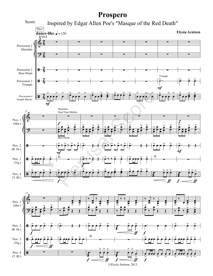

©Elysia Arntzen, 2013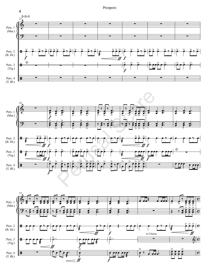

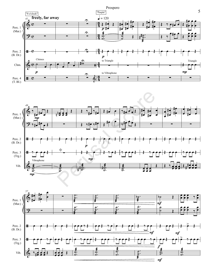



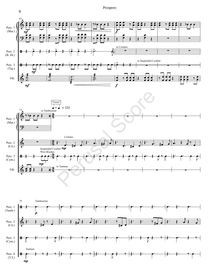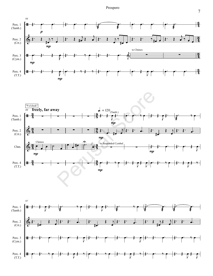

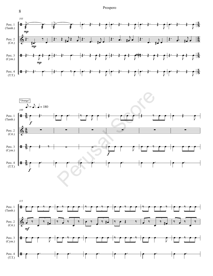



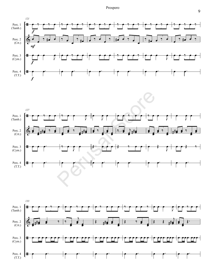



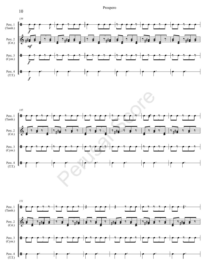



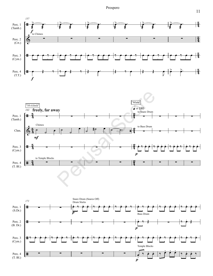Prospero and a set of the set of the set of the set of the set of the set of the set of the set of the set of the set of the set of the set of the set of the set of the set of the set of the set of the set of the set of th

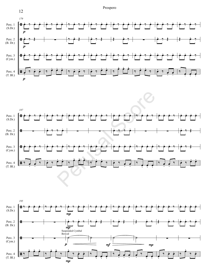





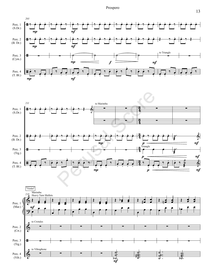



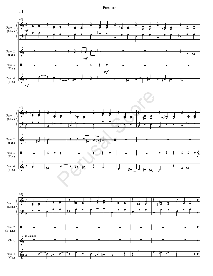



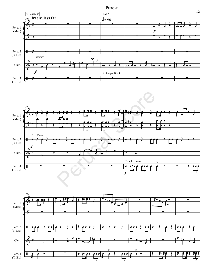



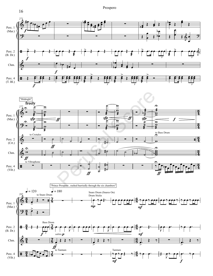